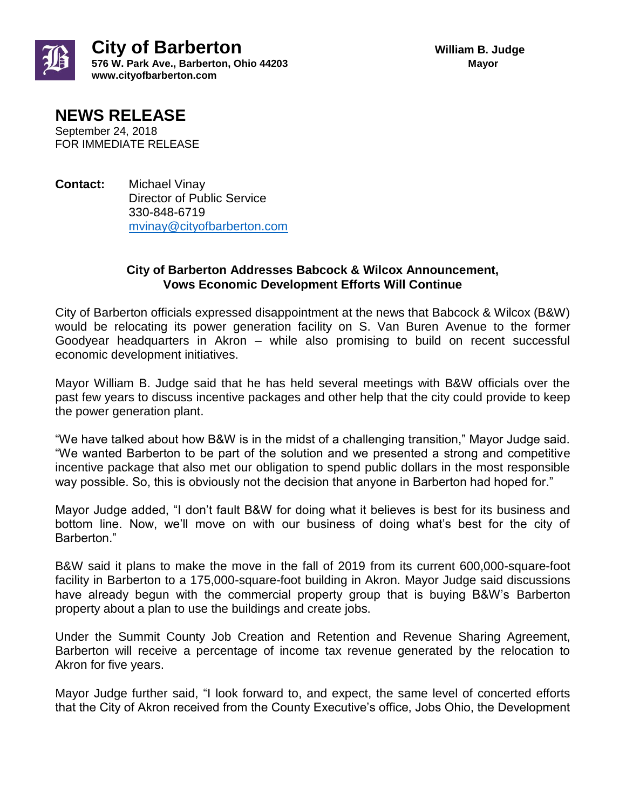

## **NEWS RELEASE**

September 24, 2018 FOR IMMEDIATE RELEASE

**Contact:** Michael Vinay Director of Public Service 330-848-6719 [mvinay@cityofbarberton.com](mailto:mvinay@cityofbarberton.com) 

## **City of Barberton Addresses Babcock & Wilcox Announcement, Vows Economic Development Efforts Will Continue**

City of Barberton officials expressed disappointment at the news that Babcock & Wilcox (B&W) would be relocating its power generation facility on S. Van Buren Avenue to the former Goodyear headquarters in Akron – while also promising to build on recent successful economic development initiatives.

Mayor William B. Judge said that he has held several meetings with B&W officials over the past few years to discuss incentive packages and other help that the city could provide to keep the power generation plant.

"We have talked about how B&W is in the midst of a challenging transition," Mayor Judge said. "We wanted Barberton to be part of the solution and we presented a strong and competitive incentive package that also met our obligation to spend public dollars in the most responsible way possible. So, this is obviously not the decision that anyone in Barberton had hoped for."

Mayor Judge added, "I don't fault B&W for doing what it believes is best for its business and bottom line. Now, we'll move on with our business of doing what's best for the city of Barberton."

B&W said it plans to make the move in the fall of 2019 from its current 600,000-square-foot facility in Barberton to a 175,000-square-foot building in Akron. Mayor Judge said discussions have already begun with the commercial property group that is buying B&W's Barberton property about a plan to use the buildings and create jobs.

Under the Summit County Job Creation and Retention and Revenue Sharing Agreement, Barberton will receive a percentage of income tax revenue generated by the relocation to Akron for five years.

Mayor Judge further said, "I look forward to, and expect, the same level of concerted efforts that the City of Akron received from the County Executive's office, Jobs Ohio, the Development